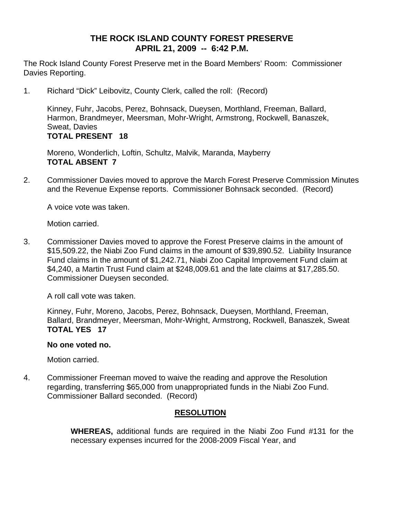# **THE ROCK ISLAND COUNTY FOREST PRESERVE APRIL 21, 2009 -- 6:42 P.M.**

The Rock Island County Forest Preserve met in the Board Members' Room: Commissioner Davies Reporting.

1. Richard "Dick" Leibovitz, County Clerk, called the roll: (Record)

Kinney, Fuhr, Jacobs, Perez, Bohnsack, Dueysen, Morthland, Freeman, Ballard, Harmon, Brandmeyer, Meersman, Mohr-Wright, Armstrong, Rockwell, Banaszek, Sweat, Davies **TOTAL PRESENT 18** 

Moreno, Wonderlich, Loftin, Schultz, Malvik, Maranda, Mayberry **TOTAL ABSENT 7** 

2. Commissioner Davies moved to approve the March Forest Preserve Commission Minutes and the Revenue Expense reports. Commissioner Bohnsack seconded. (Record)

A voice vote was taken.

Motion carried.

3. Commissioner Davies moved to approve the Forest Preserve claims in the amount of \$15,509.22, the Niabi Zoo Fund claims in the amount of \$39,890.52. Liability Insurance Fund claims in the amount of \$1,242.71, Niabi Zoo Capital Improvement Fund claim at \$4,240, a Martin Trust Fund claim at \$248,009.61 and the late claims at \$17,285.50. Commissioner Dueysen seconded.

A roll call vote was taken.

Kinney, Fuhr, Moreno, Jacobs, Perez, Bohnsack, Dueysen, Morthland, Freeman, Ballard, Brandmeyer, Meersman, Mohr-Wright, Armstrong, Rockwell, Banaszek, Sweat **TOTAL YES 17** 

#### **No one voted no.**

Motion carried.

4. Commissioner Freeman moved to waive the reading and approve the Resolution regarding, transferring \$65,000 from unappropriated funds in the Niabi Zoo Fund. Commissioner Ballard seconded. (Record)

### **RESOLUTION**

 **WHEREAS,** additional funds are required in the Niabi Zoo Fund #131 for the necessary expenses incurred for the 2008-2009 Fiscal Year, and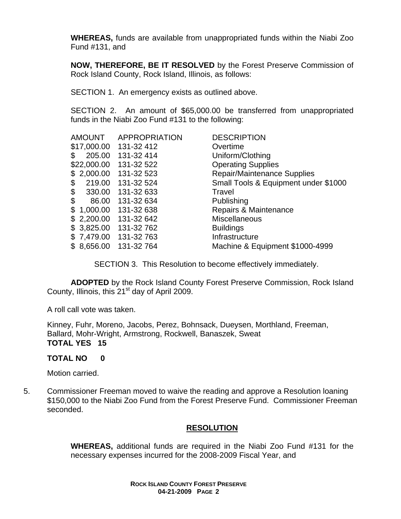**WHEREAS,** funds are available from unappropriated funds within the Niabi Zoo Fund #131, and

**NOW, THEREFORE, BE IT RESOLVED** by the Forest Preserve Commission of Rock Island County, Rock Island, Illinois, as follows:

SECTION 1. An emergency exists as outlined above.

SECTION 2. An amount of \$65,000.00 be transferred from unappropriated funds in the Niabi Zoo Fund #131 to the following:

| <b>AMOUNT</b>  | <b>APPROPRIATION</b> | <b>DESCRIPTION</b>                   |
|----------------|----------------------|--------------------------------------|
| \$17,000.00    | 131-32 412           | Overtime                             |
| 205.00<br>\$   | 131-32 414           | Uniform/Clothing                     |
| \$22,000.00    | 131-32 522           | <b>Operating Supplies</b>            |
| 2,000.00       | 131-32 523           | <b>Repair/Maintenance Supplies</b>   |
| \$<br>219.00   | 131-32 524           | Small Tools & Equipment under \$1000 |
| \$<br>330.00   | 131-32 633           | Travel                               |
| \$<br>86.00    | 131-32 634           | Publishing                           |
| 1,000.00<br>\$ | 131-32 638           | Repairs & Maintenance                |
| 2,200.00<br>\$ | 131-32 642           | <b>Miscellaneous</b>                 |
| 3,825.00<br>\$ | 131-32 762           | <b>Buildings</b>                     |
| 7,479.00       | 131-32 763           | Infrastructure                       |
| 8,656.00<br>\$ | 131-32 764           | Machine & Equipment \$1000-4999      |
|                |                      |                                      |

SECTION 3. This Resolution to become effectively immediately.

**ADOPTED** by the Rock Island County Forest Preserve Commission, Rock Island County, Illinois, this 21<sup>st</sup> day of April 2009.

A roll call vote was taken.

Kinney, Fuhr, Moreno, Jacobs, Perez, Bohnsack, Dueysen, Morthland, Freeman, Ballard, Mohr-Wright, Armstrong, Rockwell, Banaszek, Sweat **TOTAL YES 15** 

# **TOTAL NO 0**

Motion carried.

5. Commissioner Freeman moved to waive the reading and approve a Resolution loaning \$150,000 to the Niabi Zoo Fund from the Forest Preserve Fund. Commissioner Freeman seconded.

# **RESOLUTION**

**WHEREAS,** additional funds are required in the Niabi Zoo Fund #131 for the necessary expenses incurred for the 2008-2009 Fiscal Year, and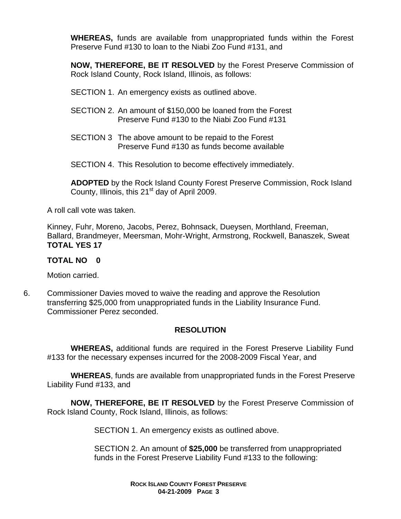**WHEREAS,** funds are available from unappropriated funds within the Forest Preserve Fund #130 to loan to the Niabi Zoo Fund #131, and

**NOW, THEREFORE, BE IT RESOLVED** by the Forest Preserve Commission of Rock Island County, Rock Island, Illinois, as follows:

SECTION 1. An emergency exists as outlined above.

- SECTION 2. An amount of \$150,000 be loaned from the Forest Preserve Fund #130 to the Niabi Zoo Fund #131
- SECTION 3 The above amount to be repaid to the Forest Preserve Fund #130 as funds become available

SECTION 4. This Resolution to become effectively immediately.

**ADOPTED** by the Rock Island County Forest Preserve Commission, Rock Island County, Illinois, this  $21<sup>st</sup>$  day of April 2009.

A roll call vote was taken.

Kinney, Fuhr, Moreno, Jacobs, Perez, Bohnsack, Dueysen, Morthland, Freeman, Ballard, Brandmeyer, Meersman, Mohr-Wright, Armstrong, Rockwell, Banaszek, Sweat **TOTAL YES 17** 

## **TOTAL NO 0**

Motion carried.

6. Commissioner Davies moved to waive the reading and approve the Resolution transferring \$25,000 from unappropriated funds in the Liability Insurance Fund. Commissioner Perez seconded.

# **RESOLUTION**

 **WHEREAS,** additional funds are required in the Forest Preserve Liability Fund #133 for the necessary expenses incurred for the 2008-2009 Fiscal Year, and

 **WHEREAS**, funds are available from unappropriated funds in the Forest Preserve Liability Fund #133, and

**NOW, THEREFORE, BE IT RESOLVED** by the Forest Preserve Commission of Rock Island County, Rock Island, Illinois, as follows:

SECTION 1. An emergency exists as outlined above.

SECTION 2. An amount of **\$25,000** be transferred from unappropriated funds in the Forest Preserve Liability Fund #133 to the following: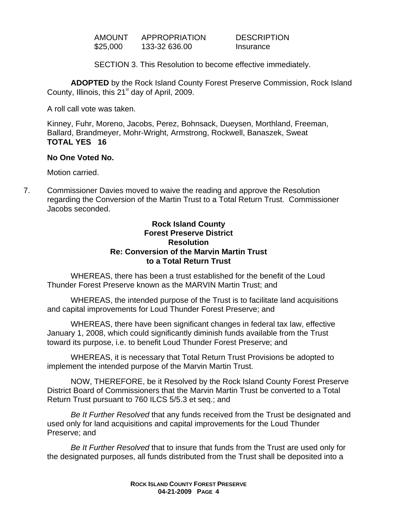AMOUNT APPROPRIATION DESCRIPTION \$25,000 133-32 636.00 Insurance

SECTION 3. This Resolution to become effective immediately.

**ADOPTED** by the Rock Island County Forest Preserve Commission, Rock Island County, Illinois, this  $21<sup>st</sup>$  day of April, 2009.

A roll call vote was taken.

Kinney, Fuhr, Moreno, Jacobs, Perez, Bohnsack, Dueysen, Morthland, Freeman, Ballard, Brandmeyer, Mohr-Wright, Armstrong, Rockwell, Banaszek, Sweat **TOTAL YES 16** 

#### **No One Voted No.**

Motion carried.

7. Commissioner Davies moved to waive the reading and approve the Resolution regarding the Conversion of the Martin Trust to a Total Return Trust. Commissioner Jacobs seconded.

### **Rock Island County Forest Preserve District Resolution Re: Conversion of the Marvin Martin Trust to a Total Return Trust**

WHEREAS, there has been a trust established for the benefit of the Loud Thunder Forest Preserve known as the MARVIN Martin Trust; and

WHEREAS, the intended purpose of the Trust is to facilitate land acquisitions and capital improvements for Loud Thunder Forest Preserve; and

WHEREAS, there have been significant changes in federal tax law, effective January 1, 2008, which could significantly diminish funds available from the Trust toward its purpose, i.e. to benefit Loud Thunder Forest Preserve; and

WHEREAS, it is necessary that Total Return Trust Provisions be adopted to implement the intended purpose of the Marvin Martin Trust.

NOW, THEREFORE, be it Resolved by the Rock Island County Forest Preserve District Board of Commissioners that the Marvin Martin Trust be converted to a Total Return Trust pursuant to 760 ILCS 5/5.3 et seq.; and

 *Be It Further Resolved* that any funds received from the Trust be designated and used only for land acquisitions and capital improvements for the Loud Thunder Preserve; and

 *Be It Further Resolved* that to insure that funds from the Trust are used only for the designated purposes, all funds distributed from the Trust shall be deposited into a